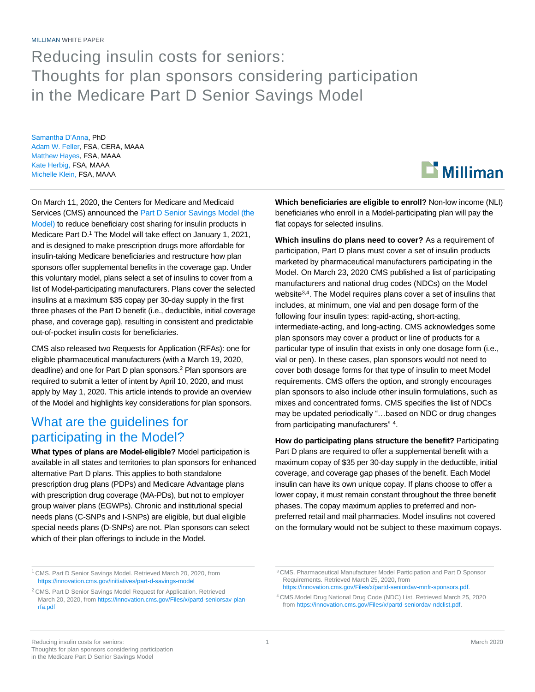# Reducing insulin costs for seniors: Thoughts for plan sponsors considering participation in the Medicare Part D Senior Savings Model

Samantha D'Anna, PhD Adam W. Feller, FSA, CERA, MAAA Matthew Hayes, FSA, MAAA Kate Herbig, FSA, MAAA Michelle Klein, FSA, MAAA

On March 11, 2020, the Centers for Medicare and Medicaid Services (CMS) announced th[e Part D Senior Savings Model \(the](https://innovation.cms.gov/initiatives/part-d-savings-model)  [Model\)](https://innovation.cms.gov/initiatives/part-d-savings-model) to reduce beneficiary cost sharing for insulin products in Medicare Part D.<sup>1</sup> The Model will take effect on January 1, 2021, and is designed to make prescription drugs more affordable for insulin-taking Medicare beneficiaries and restructure how plan sponsors offer supplemental benefits in the coverage gap. Under this voluntary model, plans select a set of insulins to cover from a list of Model-participating manufacturers. Plans cover the selected insulins at a maximum \$35 copay per 30-day supply in the first three phases of the Part D benefit (i.e., deductible, initial coverage phase, and coverage gap), resulting in consistent and predictable out-of-pocket insulin costs for beneficiaries.

CMS also released two Requests for Application (RFAs): one for eligible pharmaceutical manufacturers (with a March 19, 2020, deadline) and one for Part D plan sponsors. <sup>2</sup> Plan sponsors are required to submit a letter of intent by April 10, 2020, and must apply by May 1, 2020. This article intends to provide an overview of the Model and highlights key considerations for plan sponsors.

#### What are the guidelines for participating in the Model?

**What types of plans are Model-eligible?** Model participation is available in all states and territories to plan sponsors for enhanced alternative Part D plans. This applies to both standalone prescription drug plans (PDPs) and Medicare Advantage plans with prescription drug coverage (MA-PDs), but not to employer group waiver plans (EGWPs). Chronic and institutional special needs plans (C-SNPs and I-SNPs) are eligible, but dual eligible special needs plans (D-SNPs) are not. Plan sponsors can select which of their plan offerings to include in the Model.

 $\mathbf{\mathbf{\Sigma}}$  Milliman

**Which beneficiaries are eligible to enroll?** Non-low income (NLI) beneficiaries who enroll in a Model-participating plan will pay the flat copays for selected insulins.

**Which insulins do plans need to cover?** As a requirement of participation, Part D plans must cover a set of insulin products marketed by pharmaceutical manufacturers participating in the Model. On March 23, 2020 CMS published a list of participating manufacturers and national drug codes (NDCs) on the Model website<sup>3,4</sup>. The Model requires plans cover a set of insulins that includes, at minimum, one vial and pen dosage form of the following four insulin types: rapid-acting, short-acting, intermediate-acting, and long-acting. CMS acknowledges some plan sponsors may cover a product or line of products for a particular type of insulin that exists in only one dosage form (i.e., vial or pen). In these cases, plan sponsors would not need to cover both dosage forms for that type of insulin to meet Model requirements. CMS offers the option, and strongly encourages plan sponsors to also include other insulin formulations, such as mixes and concentrated forms. CMS specifies the list of NDCs may be updated periodically "…based on NDC or drug changes from participating manufacturers" <sup>4</sup> .

**How do participating plans structure the benefit?** Participating Part D plans are required to offer a supplemental benefit with a maximum copay of \$35 per 30-day supply in the deductible, initial coverage, and coverage gap phases of the benefit. Each Model insulin can have its own unique copay. If plans choose to offer a lower copay, it must remain constant throughout the three benefit phases. The copay maximum applies to preferred and nonpreferred retail and mail pharmacies. Model insulins not covered on the formulary would not be subject to these maximum copays.

<sup>1</sup> CMS. Part D Senior Savings Model. Retrieved March 20, 2020, from <https://innovation.cms.gov/initiatives/part-d-savings-model>

<sup>&</sup>lt;sup>2</sup> CMS. Part D Senior Savings Model Request for Application. Retrieved March 20, 2020, from [https://innovation.cms.gov/Files/x/partd-seniorsav-plan](https://innovation.cms.gov/Files/x/partd-seniorsav-plan-rfa.pdf)[rfa.pdf](https://innovation.cms.gov/Files/x/partd-seniorsav-plan-rfa.pdf)

<sup>3</sup> CMS. Pharmaceutical Manufacturer Model Participation and Part D Sponsor Requirements. Retrieved March 25, 2020, from [https://innovation.cms.gov/Files/x/partd-seniordav-mnfr-sponsors.pdf.](https://innovation.cms.gov/Files/x/partd-seniordav-mnfr-sponsors.pdf)

<sup>4</sup> CMS.Model Drug National Drug Code (NDC) List. Retrieved March 25, 2020 fro[m https://innovation.cms.gov/Files/x/partd-seniordav-ndclist.pdf.](https://innovation.cms.gov/Files/x/partd-seniordav-ndclist.pdf)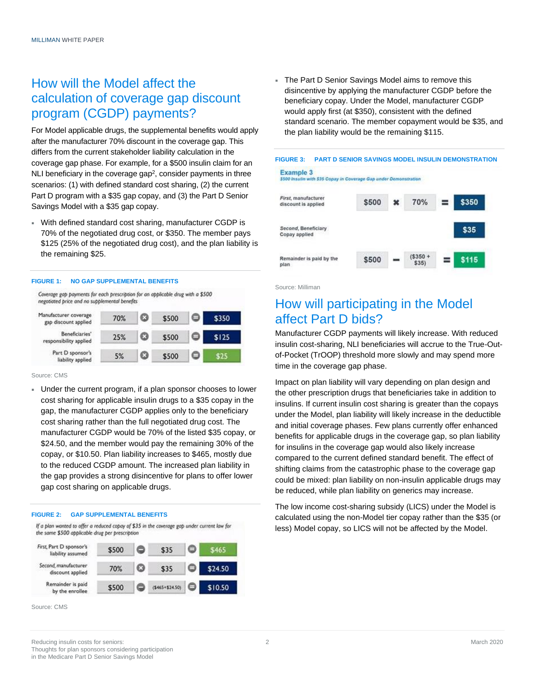### How will the Model affect the calculation of coverage gap discount program (CGDP) payments?

For Model applicable drugs, the supplemental benefits would apply after the manufacturer 70% discount in the coverage gap. This differs from the current stakeholder liability calculation in the coverage gap phase. For example, for a \$500 insulin claim for an NLI beneficiary in the coverage gap<sup>2</sup>, consider payments in three scenarios: (1) with defined standard cost sharing, (2) the current Part D program with a \$35 gap copay, and (3) the Part D Senior Savings Model with a \$35 gap copay.

 With defined standard cost sharing, manufacturer CGDP is 70% of the negotiated drug cost, or \$350. The member pays \$125 (25% of the negotiated drug cost), and the plan liability is the remaining \$25.

#### **FIGURE 1: NO GAP SUPPLEMENTAL BENEFITS**

Coverage gap payments for each prescription for an applicable drug with a \$500 negotiated price and no supplemental benefits

| Manufacturer coverage<br>gap discount applied | 70% | o | \$500 | ⊐ | \$350 |
|-----------------------------------------------|-----|---|-------|---|-------|
| Beneficiaries'<br>responsibility applied      | 25% |   | \$500 | - | \$125 |
| Part D sponsor's<br>liability applied         | 5%  | o | \$500 | ⊐ | ፍንና   |

Source: CMS

 Under the current program, if a plan sponsor chooses to lower cost sharing for applicable insulin drugs to a \$35 copay in the gap, the manufacturer CGDP applies only to the beneficiary cost sharing rather than the full negotiated drug cost. The manufacturer CGDP would be 70% of the listed \$35 copay, or \$24.50, and the member would pay the remaining 30% of the copay, or \$10.50. Plan liability increases to \$465, mostly due to the reduced CGDP amount. The increased plan liability in the gap provides a strong disincentive for plans to offer lower gap cost sharing on applicable drugs.

#### **FIGURE 2: GAP SUPPLEMENTAL BENEFITS**

If a plan wanted to offer a reduced copay of \$35 in the coverage gap under current law for the same \$500 applicable drug per prescription



Source: CMS

 The Part D Senior Savings Model aims to remove this disincentive by applying the manufacturer CGDP before the beneficiary copay. Under the Model, manufacturer CGDP would apply first (at \$350), consistent with the defined standard scenario. The member copayment would be \$35, and the plan liability would be the remaining \$115.



Source: Milliman

#### How will participating in the Model affect Part D bids?

Manufacturer CGDP payments will likely increase. With reduced insulin cost-sharing, NLI beneficiaries will accrue to the True-Outof-Pocket (TrOOP) threshold more slowly and may spend more time in the coverage gap phase.

Impact on plan liability will vary depending on plan design and the other prescription drugs that beneficiaries take in addition to insulins. If current insulin cost sharing is greater than the copays under the Model, plan liability will likely increase in the deductible and initial coverage phases. Few plans currently offer enhanced benefits for applicable drugs in the coverage gap, so plan liability for insulins in the coverage gap would also likely increase compared to the current defined standard benefit. The effect of shifting claims from the catastrophic phase to the coverage gap could be mixed: plan liability on non-insulin applicable drugs may be reduced, while plan liability on generics may increase.

The low income cost-sharing subsidy (LICS) under the Model is calculated using the non-Model tier copay rather than the \$35 (or less) Model copay, so LICS will not be affected by the Model.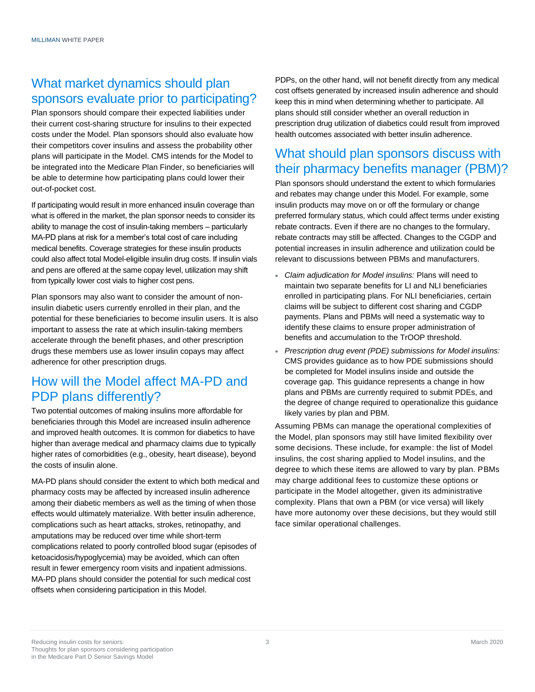### What market dynamics should plan sponsors evaluate prior to participating?

Plan sponsors should compare their expected liabilities under their current cost-sharing structure for insulins to their expected costs under the Model. Plan sponsors should also evaluate how their competitors cover insulins and assess the probability other plans will participate in the Model. CMS intends for the Model to be integrated into the Medicare Plan Finder, so beneficiaries will be able to determine how participating plans could lower their out-of-pocket cost.

If participating would result in more enhanced insulin coverage than what is offered in the market, the plan sponsor needs to consider its ability to manage the cost of insulin-taking members – particularly MA-PD plans at risk for a member's total cost of care including medical benefits. Coverage strategies for these insulin products could also affect total Model-eligible insulin drug costs. If insulin vials and pens are offered at the same copay level, utilization may shift from typically lower cost vials to higher cost pens.

Plan sponsors may also want to consider the amount of noninsulin diabetic users currently enrolled in their plan, and the potential for these beneficiaries to become insulin users. It is also important to assess the rate at which insulin-taking members accelerate through the benefit phases, and other prescription drugs these members use as lower insulin copays may affect adherence for other prescription drugs.

### How will the Model affect MA-PD and PDP plans differently?

Two potential outcomes of making insulins more affordable for beneficiaries through this Model are increased insulin adherence and improved health outcomes. It is common for diabetics to have higher than average medical and pharmacy claims due to typically higher rates of comorbidities (e.g., obesity, heart disease), beyond the costs of insulin alone.

MA-PD plans should consider the extent to which both medical and pharmacy costs may be affected by increased insulin adherence among their diabetic members as well as the timing of when those effects would ultimately materialize. With better insulin adherence, complications such as heart attacks, strokes, retinopathy, and amputations may be reduced over time while short-term complications related to poorly controlled blood sugar (episodes of ketoacidosis/hypoglycemia) may be avoided, which can often result in fewer emergency room visits and inpatient admissions. MA-PD plans should consider the potential for such medical cost offsets when considering participation in this Model.

PDPs, on the other hand, will not benefit directly from any medical cost offsets generated by increased insulin adherence and should keep this in mind when determining whether to participate. All plans should still consider whether an overall reduction in prescription drug utilization of diabetics could result from improved health outcomes associated with better insulin adherence.

## What should plan sponsors discuss with their pharmacy benefits manager (PBM)?

Plan sponsors should understand the extent to which formularies and rebates may change under this Model. For example, some insulin products may move on or off the formulary or change preferred formulary status, which could affect terms under existing rebate contracts. Even if there are no changes to the formulary, rebate contracts may still be affected. Changes to the CGDP and potential increases in insulin adherence and utilization could be relevant to discussions between PBMs and manufacturers.

- *Claim adjudication for Model insulins:* Plans will need to maintain two separate benefits for LI and NLI beneficiaries enrolled in participating plans. For NLI beneficiaries, certain claims will be subject to different cost sharing and CGDP payments. Plans and PBMs will need a systematic way to identify these claims to ensure proper administration of benefits and accumulation to the TrOOP threshold.
- *Prescription drug event (PDE) submissions for Model insulins:* CMS provides guidance as to how PDE submissions should be completed for Model insulins inside and outside the coverage gap. This guidance represents a change in how plans and PBMs are currently required to submit PDEs, and the degree of change required to operationalize this guidance likely varies by plan and PBM.

Assuming PBMs can manage the operational complexities of the Model, plan sponsors may still have limited flexibility over some decisions. These include, for example: the list of Model insulins, the cost sharing applied to Model insulins, and the degree to which these items are allowed to vary by plan. PBMs may charge additional fees to customize these options or participate in the Model altogether, given its administrative complexity. Plans that own a PBM (or vice versa) will likely have more autonomy over these decisions, but they would still face similar operational challenges.